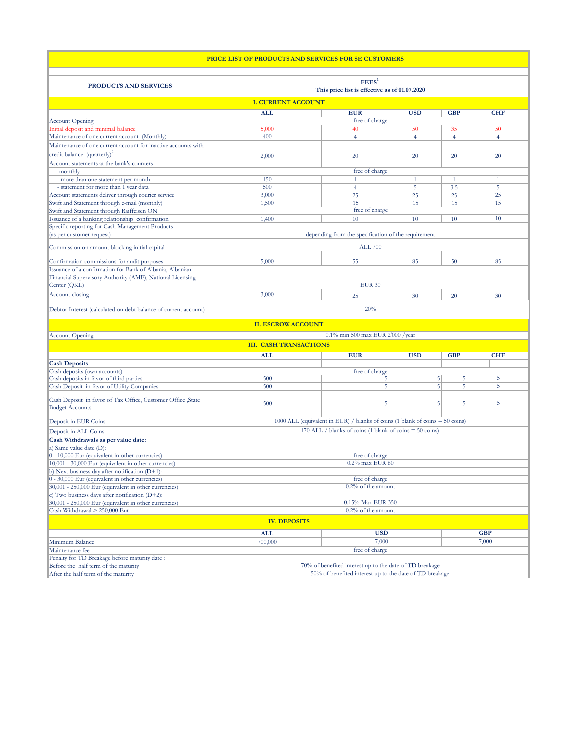| PRICE LIST OF PRODUCTS AND SERVICES FOR SE CUSTOMERS                      |                                                                                                                                           |                                                         |                |                |                |
|---------------------------------------------------------------------------|-------------------------------------------------------------------------------------------------------------------------------------------|---------------------------------------------------------|----------------|----------------|----------------|
| <b>PRODUCTS AND SERVICES</b>                                              | FEES <sup>1</sup><br>This price list is effective as of 01.07.2020                                                                        |                                                         |                |                |                |
|                                                                           | <b>I. CURRENT ACCOUNT</b>                                                                                                                 |                                                         |                |                |                |
|                                                                           | <b>ALL</b>                                                                                                                                | <b>EUR</b>                                              | <b>USD</b>     | <b>GBP</b>     | <b>CHF</b>     |
| <b>Account Opening</b>                                                    |                                                                                                                                           | free of charge                                          |                |                |                |
| Initial deposit and minimal balance                                       | 5,000                                                                                                                                     | 40                                                      | 50             | 35             | 50             |
| Maintenance of one current account (Monthly)                              | 400                                                                                                                                       | $\overline{4}$                                          | $\overline{4}$ | $\overline{4}$ | $\overline{4}$ |
| Maintenance of one current account for inactive accounts with             |                                                                                                                                           |                                                         |                |                |                |
| credit balance (quarterly) <sup>2</sup>                                   | 2,000                                                                                                                                     | 20                                                      | 20             | 20             | 20             |
| Account statements at the bank's counters                                 |                                                                                                                                           |                                                         |                |                |                |
| -monthly                                                                  |                                                                                                                                           | free of charge                                          |                |                |                |
| - more than one statement per month                                       | 150                                                                                                                                       | $\mathbf{1}$                                            | $\mathbf{1}$   | $\mathbf{1}$   | 1              |
| - statement for more than 1 year data                                     | 500                                                                                                                                       | $\overline{4}$                                          | 5              | 3.5            | 5              |
| Account statements deliver through courier service                        | 3,000                                                                                                                                     | 25                                                      | 25             | 25             | 25             |
| Swift and Statement through e-mail (monthly)                              | 1,500                                                                                                                                     | 15                                                      | 15             | 15             | 15             |
| Swift and Statement through Raiffeisen ON                                 |                                                                                                                                           | free of charge                                          |                |                |                |
| Issuance of a banking relationship confirmation                           | 1,400                                                                                                                                     | 10                                                      | 10             | 10             | 10             |
| Specific reporting for Cash Management Products                           |                                                                                                                                           |                                                         |                |                |                |
| (as per customer request)                                                 |                                                                                                                                           | depending from the specification of the requirement     |                |                |                |
| Commission on amount blocking initial capital                             |                                                                                                                                           | <b>ALL 700</b>                                          |                |                |                |
|                                                                           |                                                                                                                                           |                                                         |                |                |                |
| Confirmation commissions for audit purposes                               | 5,000                                                                                                                                     | 55                                                      | 85             | 50             | 85             |
| Issuance of a confirmation for Bank of Albania, Albanian                  |                                                                                                                                           |                                                         |                |                |                |
| Financial Supervisory Authority (AMF), National Licensing<br>Center (QKL) |                                                                                                                                           | <b>EUR 30</b>                                           |                |                |                |
|                                                                           |                                                                                                                                           |                                                         |                |                |                |
| Account closing                                                           | 3,000                                                                                                                                     | 25                                                      | 30             | 20             | 30             |
| Debtor Interest (calculated on debt balance of current account)           |                                                                                                                                           | 20%                                                     |                |                |                |
|                                                                           | <b>II. ESCROW ACCOUNT</b>                                                                                                                 |                                                         |                |                |                |
| <b>Account Opening</b>                                                    |                                                                                                                                           | 0.1% min 500 max EUR 2'000 /year                        |                |                |                |
|                                                                           | <b>III. CASH TRANSACTIONS</b>                                                                                                             |                                                         |                |                |                |
|                                                                           | <b>ALL</b>                                                                                                                                | <b>EUR</b>                                              | <b>USD</b>     | <b>GBP</b>     | <b>CHF</b>     |
| <b>Cash Deposits</b>                                                      |                                                                                                                                           |                                                         |                |                |                |
| Cash deposits (own accounts)<br>Cash deposits in favor of third parties   | 500                                                                                                                                       | free of charge                                          |                | 5              | 5              |
| Cash Deposit in favor of Utility Companies                                | 500                                                                                                                                       | 5<br>5<br>5<br>5<br>5                                   |                | $\overline{5}$ |                |
|                                                                           |                                                                                                                                           |                                                         |                |                |                |
| Cash Deposit in favor of Tax Office, Customer Office ,State               | 500                                                                                                                                       | 5                                                       | 5              | 5              | 5              |
| <b>Budget Accounts</b>                                                    |                                                                                                                                           |                                                         |                |                |                |
| Deposit in EUR Coins                                                      |                                                                                                                                           |                                                         |                |                |                |
|                                                                           | 1000 ALL (equivalent in EUR) / blanks of coins (1 blank of coins = 50 coins)<br>170 ALL / blanks of coins (1 blank of coins $=$ 50 coins) |                                                         |                |                |                |
| Deposit in ALL Coins                                                      |                                                                                                                                           |                                                         |                |                |                |
| Cash Withdrawals as per value date:<br>a) Same value date (D):            |                                                                                                                                           |                                                         |                |                |                |
| 0 - 10,000 Eur (equivalent in other currencies)                           |                                                                                                                                           | free of charge                                          |                |                |                |
| 10,001 - 30,000 Eur (equivalent in other currencies)                      |                                                                                                                                           | $0.2\%$ max EUR 60                                      |                |                |                |
| b) Next business day after notification (D+1):                            |                                                                                                                                           |                                                         |                |                |                |
| 0 - 30,000 Eur (equivalent in other currencies)                           |                                                                                                                                           | free of charge                                          |                |                |                |
| 30,001 - 250,000 Eur (equivalent in other currencies)                     |                                                                                                                                           | $0.2\%$ of the amount                                   |                |                |                |
| c) Two business days after notification $(D+2)$ :                         |                                                                                                                                           |                                                         |                |                |                |
| 30,001 - 250,000 Eur (equivalent in other currencies)                     | 0.15% Max EUR 350                                                                                                                         |                                                         |                |                |                |
| Cash Withdrawal > 250,000 Eur                                             |                                                                                                                                           | 0.2% of the amount                                      |                |                |                |
|                                                                           | <b>IV. DEPOSITS</b>                                                                                                                       |                                                         |                |                |                |
|                                                                           | <b>ALL</b>                                                                                                                                | <b>USD</b>                                              |                |                | <b>GBP</b>     |
| Minimum Balance                                                           | 700,000                                                                                                                                   | 7,000                                                   |                |                | 7,000          |
| Maintenance fee                                                           |                                                                                                                                           | free of charge                                          |                |                |                |
| Penalty for TD Breakage before maturity date:                             |                                                                                                                                           |                                                         |                |                |                |
| Before the half term of the maturity                                      |                                                                                                                                           | 70% of benefited interest up to the date of TD breakage |                |                |                |
| After the half term of the maturity                                       | 50% of benefited interest up to the date of TD breakage                                                                                   |                                                         |                |                |                |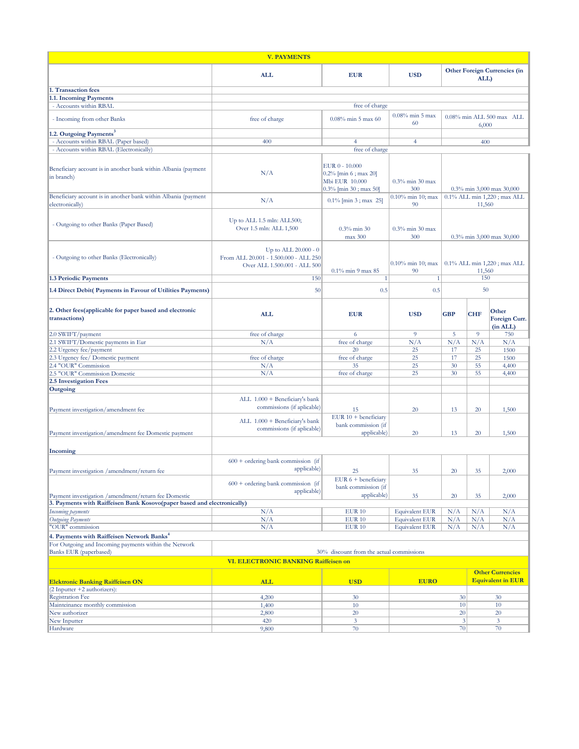| <b>V. PAYMENTS</b>                                                                |                                                                                                 |                                                                                    |                            |                                             |                                    |                                                     |
|-----------------------------------------------------------------------------------|-------------------------------------------------------------------------------------------------|------------------------------------------------------------------------------------|----------------------------|---------------------------------------------|------------------------------------|-----------------------------------------------------|
|                                                                                   | <b>ALL</b>                                                                                      | <b>EUR</b>                                                                         | <b>USD</b>                 | <b>Other Foreign Currencies (in</b><br>ALL) |                                    |                                                     |
| 1. Transaction fees                                                               |                                                                                                 |                                                                                    |                            |                                             |                                    |                                                     |
| 1.1. Incoming Payments                                                            |                                                                                                 |                                                                                    |                            |                                             |                                    |                                                     |
| - Accounts within RBAL                                                            |                                                                                                 | free of charge                                                                     |                            |                                             |                                    |                                                     |
| - Incoming from other Banks                                                       | free of charge                                                                                  | $0.08\%$ min 5 max 60                                                              | $0.08\%$ min 5 max<br>60   |                                             | 0.08% min ALL 500 max ALL<br>6,000 |                                                     |
| .2. Outgoing Payments <sup>3</sup>                                                |                                                                                                 |                                                                                    |                            |                                             |                                    |                                                     |
| - Accounts within RBAL (Paper based)                                              | 400                                                                                             | $\overline{4}$                                                                     | $\overline{4}$             |                                             | 400                                |                                                     |
| - Accounts within RBAL (Electronically)                                           |                                                                                                 | free of charge                                                                     |                            |                                             |                                    |                                                     |
| Beneficiary account is in another bank within Albania (payment<br>in branch)      | N/A                                                                                             | EUR 0 - 10.000<br>0.2% [min 6 ; max 20]<br>Mbi EUR 10.000<br>0.3% [min 30; max 50] | $0.3\%$ min 30 max<br>300  | 0.3% min 3,000 max 30,000                   |                                    |                                                     |
| Beneficiary account is in another bank within Albania (payment<br>electronically) | N/A                                                                                             | $0.1\%$ [min 3; max 25]                                                            | 0.10% min 10; max<br>90    | 0.1% ALL min 1,220; max ALL<br>11,560       |                                    |                                                     |
| - Outgoing to other Banks (Paper Based)                                           | Up to ALL 1.5 mln: ALL500;<br>Over 1.5 mln: ALL 1,500                                           | $0.3\%$ min 30<br>max 300                                                          | $0.3\%$ min 30 max<br>300  | 0.3% min 3,000 max 30,000                   |                                    |                                                     |
| - Outgoing to other Banks (Electronically)                                        | Up to ALL $20.000 - 0$<br>From ALL 20.001 - 1.500.000 - ALL 250<br>Over ALL 1.500.001 - ALL 500 | 0.1% min 9 max 85                                                                  | $0.10\%$ min 10; max<br>90 | 0.1% ALL min 1,220; max ALL<br>11,560       |                                    |                                                     |
| 1.3 Periodic Payments                                                             | 150                                                                                             | 1                                                                                  | $\mathbf{1}$               |                                             | 150                                |                                                     |
| 1.4 Direct Debit( Payments in Favour of Utilities Payments)                       | 50                                                                                              | 0.5                                                                                | 0.5                        |                                             | 50                                 |                                                     |
| 2. Other fees(applicable for paper based and electronic<br>transactions)          | <b>ALL</b>                                                                                      | <b>EUR</b>                                                                         | <b>USD</b>                 | <b>GBP</b>                                  | <b>CHF</b>                         | Other<br>Foreign Curr.<br>(in ALL)                  |
| 2.0 SWIFT/payment                                                                 | free of charge                                                                                  | -6                                                                                 | $\overline{9}$             | 5                                           | $\overline{9}$                     | 750                                                 |
| 2.1 SWIFT/Domestic payments in Eur                                                | N/A                                                                                             | free of charge                                                                     | N/A                        | N/A                                         | N/A                                | N/A                                                 |
| 2.2 Urgency fee/payment                                                           |                                                                                                 | 20                                                                                 | 25                         | 17                                          | 25                                 | 1500                                                |
| 2.3 Urgency fee/ Domestic payment<br>2.4 "OUR" Commission                         | free of charge                                                                                  | free of charge<br>35                                                               | 25<br>25                   | 17<br>30                                    | 25<br>55                           | 1500                                                |
| 2.5 "OUR" Commission Domestic                                                     | N/A<br>N/A                                                                                      | free of charge                                                                     | 25                         | 30                                          | 55                                 | 4,400<br>4,400                                      |
| 2.5 Investigation Fees                                                            |                                                                                                 |                                                                                    |                            |                                             |                                    |                                                     |
| Outgoing                                                                          |                                                                                                 |                                                                                    |                            |                                             |                                    |                                                     |
| Payment investigation/amendment fee                                               | ALL 1.000 + Beneficiary's bank<br>commissions (if aplicable)                                    | 15<br>EUR $10 + \text{beneficiary}$                                                | 20                         | 13                                          | 20                                 | 1,500                                               |
|                                                                                   | ALL 1.000 + Beneficiary's bank                                                                  | bank commission (if                                                                |                            |                                             |                                    |                                                     |
| Payment investigation/amendment fee Domestic payment                              | commissions (if aplicable)                                                                      | applicable)                                                                        | 20                         | 13                                          | 20                                 | 1,500                                               |
| Incoming                                                                          |                                                                                                 |                                                                                    |                            |                                             |                                    |                                                     |
| Payment investigation /amendment/return fee                                       | $600 +$ ordering bank commission (if<br>applicable)                                             | 25                                                                                 | 35                         | 20                                          | 35                                 | 2.000                                               |
| Payment investigation /amendment/return fee Domestic                              | $600 +$ ordering bank commission (if<br>applicable)                                             | EUR $6 + \text{beneficiary}$<br>bank commission (if<br>applicable)                 | 35                         | 20                                          | 35                                 | 2,000                                               |
| 3. Payments with Raiffeisen Bank Kosovo(paper based and electronically)           |                                                                                                 |                                                                                    |                            |                                             |                                    |                                                     |
| Incoming payments                                                                 | N/A                                                                                             | <b>EUR 10</b>                                                                      | <b>Equivalent EUR</b>      | N/A                                         | N/A                                | N/A                                                 |
| Outgoing Payments                                                                 | N/A                                                                                             | <b>EUR 10</b>                                                                      | <b>Equivalent EUR</b>      | N/A                                         | N/A                                | N/A                                                 |
| 'OUR" commission                                                                  | N/A                                                                                             | <b>EUR 10</b>                                                                      | <b>Equivalent EUR</b>      | N/A                                         | N/A                                | N/A                                                 |
| 4. Payments with Raiffeisen Network Banks <sup>4</sup>                            |                                                                                                 |                                                                                    |                            |                                             |                                    |                                                     |
| For Outgoing and Incoming payments within the Network<br>Banks EUR (paperbased)   |                                                                                                 | 30% discount from the actual commissions                                           |                            |                                             |                                    |                                                     |
|                                                                                   | <b>VI. ELECTRONIC BANKING Raiffeisen on</b>                                                     |                                                                                    |                            |                                             |                                    |                                                     |
| <b>Elektronic Banking Raiffeisen ON</b>                                           | <b>ALL</b>                                                                                      | <b>USD</b>                                                                         | <b>EURO</b>                |                                             |                                    | <b>Other Currencies</b><br><b>Equivalent in EUR</b> |
| 2 Inputter +2 authorizers):                                                       |                                                                                                 |                                                                                    |                            |                                             |                                    |                                                     |
| <b>Registration Fee</b>                                                           | 4,200                                                                                           | 30                                                                                 |                            | 30                                          |                                    | 30                                                  |
| Mainteinance monthly commission<br>New authorizer                                 | 1,400<br>2,800                                                                                  | 10<br>20                                                                           |                            | 10<br>20                                    |                                    | 10<br>20                                            |
| New Inputter                                                                      | 420                                                                                             | $\mathbf{3}$                                                                       |                            | $\mathfrak{Z}$                              |                                    | 3                                                   |
| Hardware                                                                          | 9,800                                                                                           | 70                                                                                 |                            | 70                                          |                                    | 70                                                  |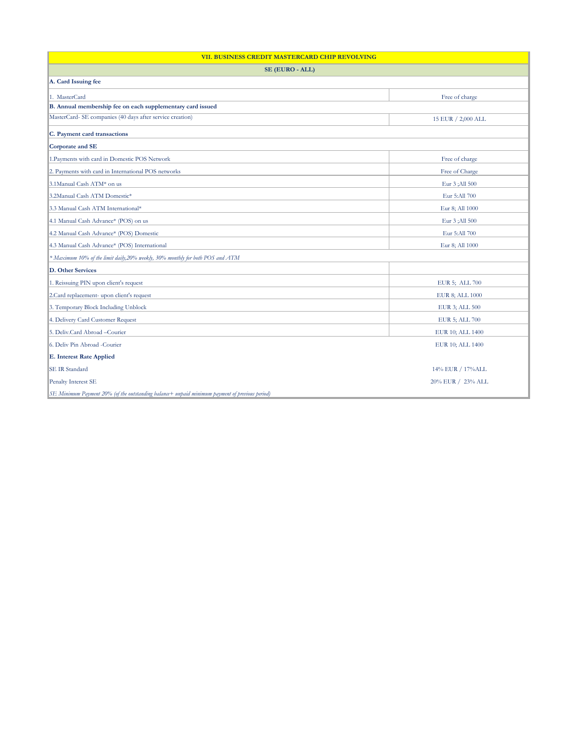| VII. BUSINESS CREDIT MASTERCARD CHIP REVOLVING                                                 |                   |  |  |
|------------------------------------------------------------------------------------------------|-------------------|--|--|
| SE (EURO - ALL)                                                                                |                   |  |  |
| A. Card Issuing fee                                                                            |                   |  |  |
| 1. MasterCard                                                                                  | Free of charge    |  |  |
| B. Annual membership fee on each supplementary card issued                                     |                   |  |  |
| MasterCard- SE companies (40 days after service creation)<br>15 EUR / 2,000 ALL                |                   |  |  |
| C. Payment card transactions                                                                   |                   |  |  |
| Corporate and SE                                                                               |                   |  |  |
| 1. Payments with card in Domestic POS Network                                                  | Free of charge    |  |  |
| 2. Payments with card in International POS networks                                            | Free of Charge    |  |  |
| 3.1Manual Cash ATM* on us                                                                      | Eur 3 ; All 500   |  |  |
| 3.2Manual Cash ATM Domestic*                                                                   | Eur 5:All 700     |  |  |
| 3.3 Manual Cash ATM International*                                                             | Eur 8; All 1000   |  |  |
| 4.1 Manual Cash Advance* (POS) on us                                                           | Eur 3 ; All 500   |  |  |
| 4.2 Manual Cash Advance* (POS) Domestic                                                        | Eur 5:All 700     |  |  |
| 4.3 Manual Cash Advance* (POS) International<br>Eur 8; All 1000                                |                   |  |  |
| * Maximum 10% of the limit daily,20% weekly, 30% monthly for both POS and ATM                  |                   |  |  |
| <b>D.</b> Other Services                                                                       |                   |  |  |
| 1. Reissuing PIN upon client's request                                                         | EUR 5; ALL 700    |  |  |
| 2.Card replacement- upon client's request                                                      | EUR 8; ALL 1000   |  |  |
| 3. Temporary Block Including Unblock                                                           | EUR 3; ALL 500    |  |  |
| 4. Delivery Card Customer Request                                                              | EUR 5; ALL 700    |  |  |
| 5. Deliv.Card Abroad -Courier                                                                  | EUR 10; ALL 1400  |  |  |
| 6. Deliv Pin Abroad -Courier                                                                   | EUR 10; ALL 1400  |  |  |
| <b>E. Interest Rate Applied</b>                                                                |                   |  |  |
| <b>SE IR Standard</b>                                                                          | 14% EUR / 17%ALL  |  |  |
| Penalty Interest SE                                                                            | 20% EUR / 23% ALL |  |  |
| SE Minimum Payment 20% (of the outstanding balance+ unpaid minimum payment of previous period) |                   |  |  |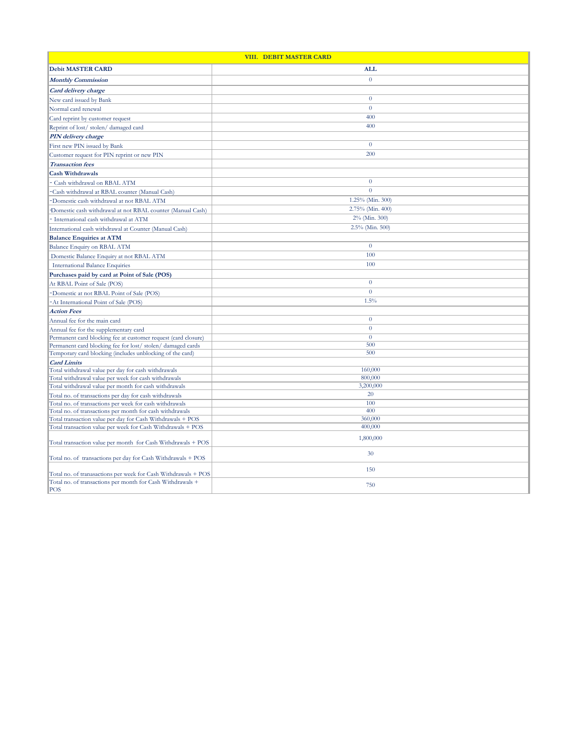| VIII. DEBIT MASTER CARD                                                                                 |                  |  |
|---------------------------------------------------------------------------------------------------------|------------------|--|
| <b>Debit MASTER CARD</b>                                                                                | <b>ALL</b>       |  |
| <b>Monthly Commission</b>                                                                               | $\overline{0}$   |  |
| Card delivery charge                                                                                    |                  |  |
| New card issued by Bank                                                                                 | $\boldsymbol{0}$ |  |
| Normal card renewal                                                                                     | $\Omega$         |  |
| Card reprint by customer request                                                                        | 400              |  |
| Reprint of lost/stolen/damaged card                                                                     | 400              |  |
| PIN delivery charge                                                                                     |                  |  |
| First new PIN issued by Bank                                                                            | $\overline{0}$   |  |
|                                                                                                         | 200              |  |
| Customer request for PIN reprint or new PIN                                                             |                  |  |
| <b>Transaction</b> fees                                                                                 |                  |  |
| <b>Cash Withdrawals</b>                                                                                 | $\theta$         |  |
| Cash withdrawal on RBAL ATM                                                                             |                  |  |
| Cash withdrawal at RBAL counter (Manual Cash)                                                           | $\overline{0}$   |  |
| Domestic cash withdrawal at not RBAL ATM                                                                | 1.25% (Min. 300) |  |
| Domestic cash withdrawal at not RBAL counter (Manual Cash)                                              | 2.75% (Min. 400) |  |
| International cash withdrawal at ATM                                                                    | 2% (Min. 300)    |  |
| International cash withdrawal at Counter (Manual Cash)                                                  | 2.5% (Min. 500)  |  |
| <b>Balance Enquiries at ATM</b>                                                                         |                  |  |
| Balance Enquiry on RBAL ATM                                                                             | $\overline{0}$   |  |
| Domestic Balance Enquiry at not RBAL ATM                                                                | 100              |  |
| <b>International Balance Enquiries</b>                                                                  | 100              |  |
| Purchases paid by card at Point of Sale (POS)                                                           |                  |  |
| At RBAL Point of Sale (POS)                                                                             | $\overline{0}$   |  |
| Domestic at not RBAL Point of Sale (POS)                                                                | $\overline{0}$   |  |
| At International Point of Sale (POS)                                                                    | 1.5%             |  |
| <b>Action Fees</b>                                                                                      |                  |  |
| Annual fee for the main card                                                                            | $\overline{0}$   |  |
|                                                                                                         | $\overline{0}$   |  |
| Annual fee for the supplementary card<br>Permanent card blocking fee at customer request (card closure) | $\overline{0}$   |  |
| Permanent card blocking fee for lost/stolen/damaged cards                                               | 500              |  |
| Temporary card blocking (includes unblocking of the card)                                               | 500              |  |
| <b>Card Limits</b>                                                                                      |                  |  |
| Total withdrawal value per day for cash withdrawals                                                     | 160,000          |  |
| Total withdrawal value per week for cash withdrawals                                                    | 800,000          |  |
| Total withdrawal value per month for cash withdrawals                                                   | 3,200,000        |  |
| Total no. of transactions per day for cash withdrawals                                                  | 20               |  |
| Total no. of transactions per week for cash withdrawals                                                 | 100              |  |
| Total no. of transactions per month for cash withdrawals                                                | 400              |  |
| Total transaction value per day for Cash Withdrawals + POS                                              | 360,000          |  |
| Total transaction value per week for Cash Withdrawals + POS                                             | 400,000          |  |
| Total transaction value per month for Cash Withdrawals + POS                                            | 1,800,000        |  |
| Total no. of transactions per day for Cash Withdrawals + POS                                            | 30               |  |
| Total no. of tranasactions per week for Cash Withdrawals + POS                                          | 150              |  |
| Total no. of transactions per month for Cash Withdrawals +<br><b>POS</b>                                | 750              |  |